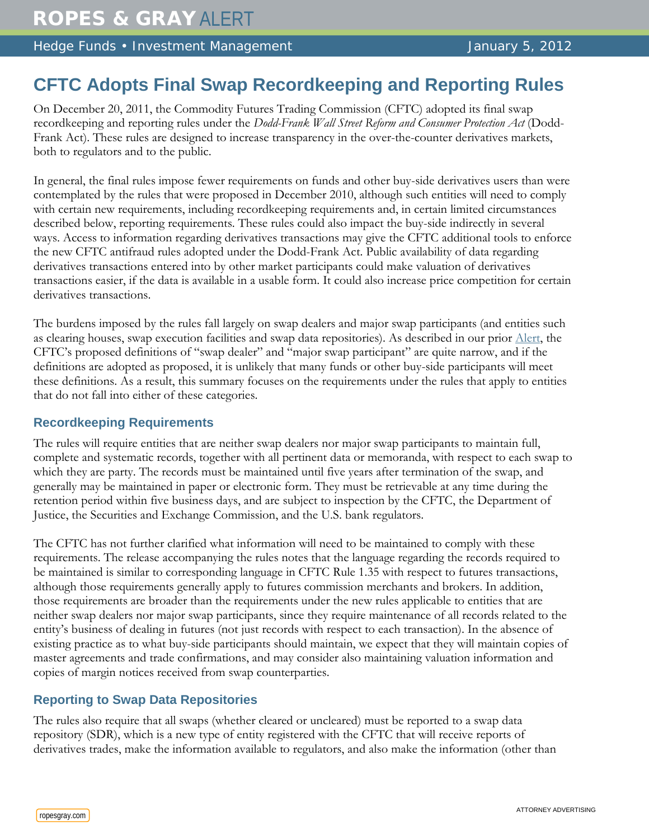Hedge Funds • Investment Management Management January 5, 2012

# **CFTC Adopts Final Swap Recordkeeping and Reporting Rules**

On December 20, 2011, the Commodity Futures Trading Commission (CFTC) adopted its final swap recordkeeping and reporting rules under the *Dodd-Frank Wall Street Reform and Consumer Protection Act* (Dodd-Frank Act). These rules are designed to increase transparency in the over-the-counter derivatives markets, both to regulators and to the public.

In general, the final rules impose fewer requirements on funds and other buy-side derivatives users than were contemplated by the rules that were proposed in December 2010, although such entities will need to comply with certain new requirements, including recordkeeping requirements and, in certain limited circumstances described below, reporting requirements. These rules could also impact the buy-side indirectly in several ways. Access to information regarding derivatives transactions may give the CFTC additional tools to enforce the new CFTC antifraud rules adopted under the Dodd-Frank Act. Public availability of data regarding derivatives transactions entered into by other market participants could make valuation of derivatives transactions easier, if the data is available in a usable form. It could also increase price competition for certain derivatives transactions.

The burdens imposed by the rules fall largely on swap dealers and major swap participants (and entities such as clearing houses, swap execution facilities and swap data repositories). As described in our prior [Alert,](http://www.ropesgray.com/files/Publication/631741c2-eeb1-468f-935d-0107aaa820cb/Presentation/PublicationAttachment/7dcd8168-1936-4a9e-aa1f-08a966f53834/20101214FRMAlert.pdf) the CFTC's proposed definitions of "swap dealer" and "major swap participant" are quite narrow, and if the definitions are adopted as proposed, it is unlikely that many funds or other buy-side participants will meet these definitions. As a result, this summary focuses on the requirements under the rules that apply to entities that do not fall into either of these categories.

### **Recordkeeping Requirements**

The rules will require entities that are neither swap dealers nor major swap participants to maintain full, complete and systematic records, together with all pertinent data or memoranda, with respect to each swap to which they are party. The records must be maintained until five years after termination of the swap, and generally may be maintained in paper or electronic form. They must be retrievable at any time during the retention period within five business days, and are subject to inspection by the CFTC, the Department of Justice, the Securities and Exchange Commission, and the U.S. bank regulators.

The CFTC has not further clarified what information will need to be maintained to comply with these requirements. The release accompanying the rules notes that the language regarding the records required to be maintained is similar to corresponding language in CFTC Rule 1.35 with respect to futures transactions, although those requirements generally apply to futures commission merchants and brokers. In addition, those requirements are broader than the requirements under the new rules applicable to entities that are neither swap dealers nor major swap participants, since they require maintenance of all records related to the entity's business of dealing in futures (not just records with respect to each transaction). In the absence of existing practice as to what buy-side participants should maintain, we expect that they will maintain copies of master agreements and trade confirmations, and may consider also maintaining valuation information and copies of margin notices received from swap counterparties.

## **Reporting to Swap Data Repositories**

The rules also require that all swaps (whether cleared or uncleared) must be reported to a swap data repository (SDR), which is a new type of entity registered with the CFTC that will receive reports of derivatives trades, make the information available to regulators, and also make the information (other than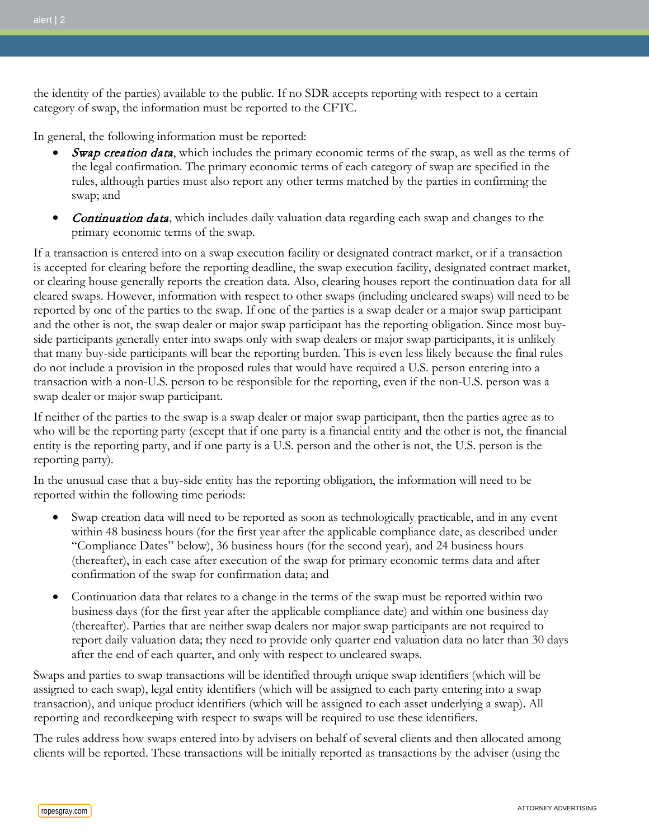the identity of the parties) available to the public. If no SDR accepts reporting with respect to a certain category of swap, the information must be reported to the CFTC.

In general, the following information must be reported:

- Swap creation data, which includes the primary economic terms of the swap, as well as the terms of the legal confirmation. The primary economic terms of each category of swap are specified in the rules, although parties must also report any other terms matched by the parties in confirming the swap; and
- Continuation data, which includes daily valuation data regarding each swap and changes to the primary economic terms of the swap.

If a transaction is entered into on a swap execution facility or designated contract market, or if a transaction is accepted for clearing before the reporting deadline, the swap execution facility, designated contract market, or clearing house generally reports the creation data. Also, clearing houses report the continuation data for all cleared swaps. However, information with respect to other swaps (including uncleared swaps) will need to be reported by one of the parties to the swap. If one of the parties is a swap dealer or a major swap participant and the other is not, the swap dealer or major swap participant has the reporting obligation. Since most buyside participants generally enter into swaps only with swap dealers or major swap participants, it is unlikely that many buy-side participants will bear the reporting burden. This is even less likely because the final rules do not include a provision in the proposed rules that would have required a U.S. person entering into a transaction with a non-U.S. person to be responsible for the reporting, even if the non-U.S. person was a swap dealer or major swap participant.

If neither of the parties to the swap is a swap dealer or major swap participant, then the parties agree as to who will be the reporting party (except that if one party is a financial entity and the other is not, the financial entity is the reporting party, and if one party is a U.S. person and the other is not, the U.S. person is the reporting party).

In the unusual case that a buy-side entity has the reporting obligation, the information will need to be reported within the following time periods:

- Swap creation data will need to be reported as soon as technologically practicable, and in any event within 48 business hours (for the first year after the applicable compliance date, as described under "Compliance Dates" below), 36 business hours (for the second year), and 24 business hours (thereafter), in each case after execution of the swap for primary economic terms data and after confirmation of the swap for confirmation data; and
- Continuation data that relates to a change in the terms of the swap must be reported within two business days (for the first year after the applicable compliance date) and within one business day (thereafter). Parties that are neither swap dealers nor major swap participants are not required to report daily valuation data; they need to provide only quarter end valuation data no later than 30 days after the end of each quarter, and only with respect to uncleared swaps.

Swaps and parties to swap transactions will be identified through unique swap identifiers (which will be assigned to each swap), legal entity identifiers (which will be assigned to each party entering into a swap transaction), and unique product identifiers (which will be assigned to each asset underlying a swap). All reporting and recordkeeping with respect to swaps will be required to use these identifiers.

The rules address how swaps entered into by advisers on behalf of several clients and then allocated among clients will be reported. These transactions will be initially reported as transactions by the adviser (using the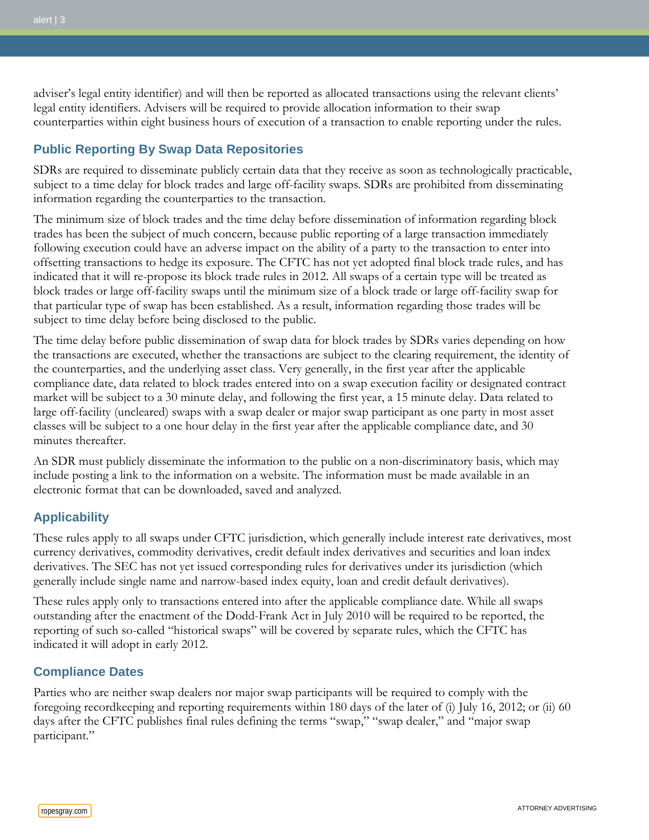adviser's legal entity identifier) and will then be reported as allocated transactions using the relevant clients' legal entity identifiers. Advisers will be required to provide allocation information to their swap counterparties within eight business hours of execution of a transaction to enable reporting under the rules.

### **Public Reporting By Swap Data Repositories**

SDRs are required to disseminate publicly certain data that they receive as soon as technologically practicable, subject to a time delay for block trades and large off-facility swaps. SDRs are prohibited from disseminating information regarding the counterparties to the transaction.

The minimum size of block trades and the time delay before dissemination of information regarding block trades has been the subject of much concern, because public reporting of a large transaction immediately following execution could have an adverse impact on the ability of a party to the transaction to enter into offsetting transactions to hedge its exposure. The CFTC has not yet adopted final block trade rules, and has indicated that it will re-propose its block trade rules in 2012. All swaps of a certain type will be treated as block trades or large off-facility swaps until the minimum size of a block trade or large off-facility swap for that particular type of swap has been established. As a result, information regarding those trades will be subject to time delay before being disclosed to the public.

The time delay before public dissemination of swap data for block trades by SDRs varies depending on how the transactions are executed, whether the transactions are subject to the clearing requirement, the identity of the counterparties, and the underlying asset class. Very generally, in the first year after the applicable compliance date, data related to block trades entered into on a swap execution facility or designated contract market will be subject to a 30 minute delay, and following the first year, a 15 minute delay. Data related to large off-facility (uncleared) swaps with a swap dealer or major swap participant as one party in most asset classes will be subject to a one hour delay in the first year after the applicable compliance date, and 30 minutes thereafter.

An SDR must publicly disseminate the information to the public on a non-discriminatory basis, which may include posting a link to the information on a website. The information must be made available in an electronic format that can be downloaded, saved and analyzed.

#### **Applicability**

These rules apply to all swaps under CFTC jurisdiction, which generally include interest rate derivatives, most currency derivatives, commodity derivatives, credit default index derivatives and securities and loan index derivatives. The SEC has not yet issued corresponding rules for derivatives under its jurisdiction (which generally include single name and narrow-based index equity, loan and credit default derivatives).

These rules apply only to transactions entered into after the applicable compliance date. While all swaps outstanding after the enactment of the Dodd-Frank Act in July 2010 will be required to be reported, the reporting of such so-called "historical swaps" will be covered by separate rules, which the CFTC has indicated it will adopt in early 2012.

#### **Compliance Dates**

Parties who are neither swap dealers nor major swap participants will be required to comply with the foregoing recordkeeping and reporting requirements within 180 days of the later of (i) July 16, 2012; or (ii) 60 days after the CFTC publishes final rules defining the terms "swap," "swap dealer," and "major swap participant."